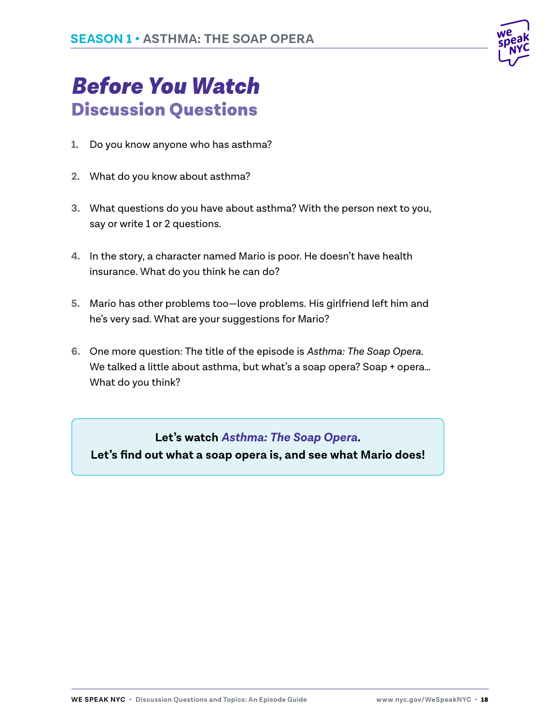

# *Before You Watch* Discussion Questions

- **1.** Do you know anyone who has asthma?
- **2.** What do you know about asthma?
- **3.** What questions do you have about asthma? With the person next to you, say or write 1 or 2 questions.
- **4.** In the story, a character named Mario is poor. He doesn't have health insurance. What do you think he can do?
- **5.** Mario has other problems too—love problems. His girlfriend left him and he's very sad. What are your suggestions for Mario?
- **6.** One more question: The title of the episode is *Asthma: The Soap Opera*. We talked a little about asthma, but what's a soap opera? Soap + opera… What do you think?

**Let's watch** *Asthma: The Soap Opera***.** 

**Let's find out what a soap opera is, and see what Mario does!**